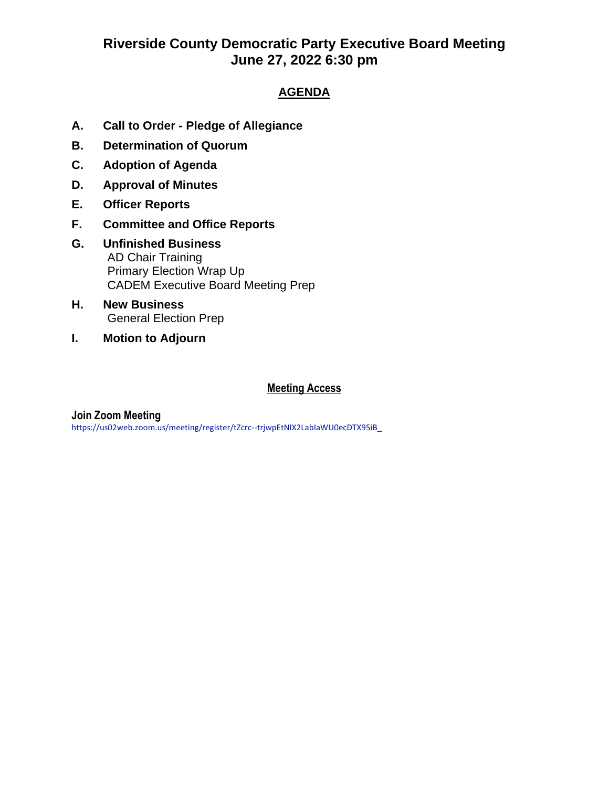# **Riverside County Democratic Party Executive Board Meeting June 27, 2022 6:30 pm**

### **AGENDA**

- **A. Call to Order - Pledge of Allegiance**
- **B. Determination of Quorum**
- **C. Adoption of Agenda**
- **D. Approval of Minutes**
- **E. Officer Reports**
- **F. Committee and Office Reports**
- **G. Unfinished Business**  AD Chair Training Primary Election Wrap Up CADEM Executive Board Meeting Prep
- **H. New Business** General Election Prep
- **I. Motion to Adjourn**

#### **Meeting Access**

#### **Join Zoom Meeting**

https://us02web.zoom.us/meeting/register/tZcrc--trjwpEtNIX2LabIaWU0ecDTX95iB\_